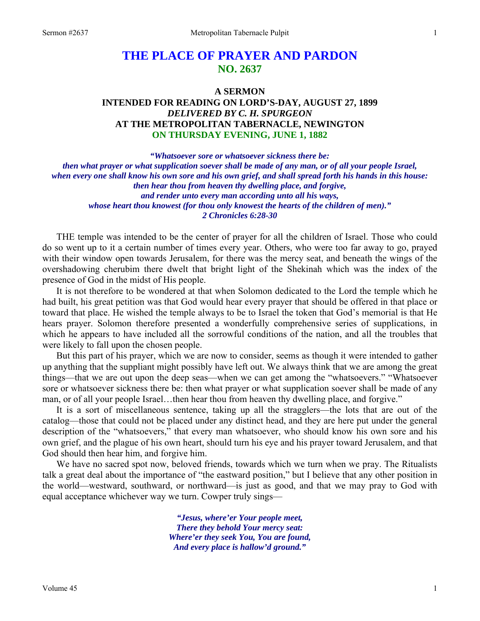# **THE PLACE OF PRAYER AND PARDON NO. 2637**

# **A SERMON INTENDED FOR READING ON LORD'S-DAY, AUGUST 27, 1899**  *DELIVERED BY C. H. SPURGEON*  **AT THE METROPOLITAN TABERNACLE, NEWINGTON ON THURSDAY EVENING, JUNE 1, 1882**

*"Whatsoever sore or whatsoever sickness there be: then what prayer or what supplication soever shall be made of any man, or of all your people Israel, when every one shall know his own sore and his own grief, and shall spread forth his hands in this house: then hear thou from heaven thy dwelling place, and forgive, and render unto every man according unto all his ways, whose heart thou knowest (for thou only knowest the hearts of the children of men)." 2 Chronicles 6:28-30* 

THE temple was intended to be the center of prayer for all the children of Israel. Those who could do so went up to it a certain number of times every year. Others, who were too far away to go, prayed with their window open towards Jerusalem, for there was the mercy seat, and beneath the wings of the overshadowing cherubim there dwelt that bright light of the Shekinah which was the index of the presence of God in the midst of His people.

 It is not therefore to be wondered at that when Solomon dedicated to the Lord the temple which he had built, his great petition was that God would hear every prayer that should be offered in that place or toward that place. He wished the temple always to be to Israel the token that God's memorial is that He hears prayer. Solomon therefore presented a wonderfully comprehensive series of supplications, in which he appears to have included all the sorrowful conditions of the nation, and all the troubles that were likely to fall upon the chosen people.

 But this part of his prayer, which we are now to consider, seems as though it were intended to gather up anything that the suppliant might possibly have left out. We always think that we are among the great things—that we are out upon the deep seas—when we can get among the "whatsoevers." "Whatsoever sore or whatsoever sickness there be: then what prayer or what supplication soever shall be made of any man, or of all your people Israel…then hear thou from heaven thy dwelling place, and forgive."

 It is a sort of miscellaneous sentence, taking up all the stragglers—the lots that are out of the catalog—those that could not be placed under any distinct head, and they are here put under the general description of the "whatsoevers," that every man whatsoever, who should know his own sore and his own grief, and the plague of his own heart, should turn his eye and his prayer toward Jerusalem, and that God should then hear him, and forgive him.

 We have no sacred spot now, beloved friends, towards which we turn when we pray. The Ritualists talk a great deal about the importance of "the eastward position," but I believe that any other position in the world—westward, southward, or northward—is just as good, and that we may pray to God with equal acceptance whichever way we turn. Cowper truly sings—

> *"Jesus, where'er Your people meet, There they behold Your mercy seat: Where'er they seek You, You are found, And every place is hallow'd ground."*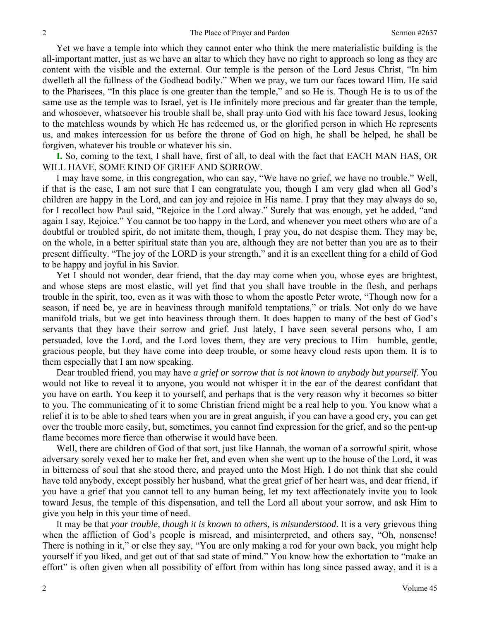Yet we have a temple into which they cannot enter who think the mere materialistic building is the all-important matter, just as we have an altar to which they have no right to approach so long as they are content with the visible and the external. Our temple is the person of the Lord Jesus Christ, "In him dwelleth all the fullness of the Godhead bodily." When we pray, we turn our faces toward Him. He said to the Pharisees, "In this place is one greater than the temple," and so He is. Though He is to us of the same use as the temple was to Israel, yet is He infinitely more precious and far greater than the temple, and whosoever, whatsoever his trouble shall be, shall pray unto God with his face toward Jesus, looking to the matchless wounds by which He has redeemed us, or the glorified person in which He represents us, and makes intercession for us before the throne of God on high, he shall be helped, he shall be forgiven, whatever his trouble or whatever his sin.

**I.** So, coming to the text, I shall have, first of all, to deal with the fact that EACH MAN HAS, OR WILL HAVE, SOME KIND OF GRIEF AND SORROW.

 I may have some, in this congregation, who can say, "We have no grief, we have no trouble." Well, if that is the case, I am not sure that I can congratulate you, though I am very glad when all God's children are happy in the Lord, and can joy and rejoice in His name. I pray that they may always do so, for I recollect how Paul said, "Rejoice in the Lord alway." Surely that was enough, yet he added, "and again I say, Rejoice." You cannot be too happy in the Lord, and whenever you meet others who are of a doubtful or troubled spirit, do not imitate them, though, I pray you, do not despise them. They may be, on the whole, in a better spiritual state than you are, although they are not better than you are as to their present difficulty. "The joy of the LORD is your strength," and it is an excellent thing for a child of God to be happy and joyful in his Savior.

 Yet I should not wonder, dear friend, that the day may come when you, whose eyes are brightest, and whose steps are most elastic, will yet find that you shall have trouble in the flesh, and perhaps trouble in the spirit, too, even as it was with those to whom the apostle Peter wrote, "Though now for a season, if need be, ye are in heaviness through manifold temptations," or trials. Not only do we have manifold trials, but we get into heaviness through them. It does happen to many of the best of God's servants that they have their sorrow and grief. Just lately, I have seen several persons who, I am persuaded, love the Lord, and the Lord loves them, they are very precious to Him—humble, gentle, gracious people, but they have come into deep trouble, or some heavy cloud rests upon them. It is to them especially that I am now speaking.

 Dear troubled friend, you may have *a grief or sorrow that is not known to anybody but yourself*. You would not like to reveal it to anyone, you would not whisper it in the ear of the dearest confidant that you have on earth. You keep it to yourself, and perhaps that is the very reason why it becomes so bitter to you. The communicating of it to some Christian friend might be a real help to you. You know what a relief it is to be able to shed tears when you are in great anguish, if you can have a good cry, you can get over the trouble more easily, but, sometimes, you cannot find expression for the grief, and so the pent-up flame becomes more fierce than otherwise it would have been.

 Well, there are children of God of that sort, just like Hannah, the woman of a sorrowful spirit, whose adversary sorely vexed her to make her fret, and even when she went up to the house of the Lord, it was in bitterness of soul that she stood there, and prayed unto the Most High. I do not think that she could have told anybody, except possibly her husband, what the great grief of her heart was, and dear friend, if you have a grief that you cannot tell to any human being, let my text affectionately invite you to look toward Jesus, the temple of this dispensation, and tell the Lord all about your sorrow, and ask Him to give you help in this your time of need.

 It may be that *your trouble, though it is known to others, is misunderstood*. It is a very grievous thing when the affliction of God's people is misread, and misinterpreted, and others say, "Oh, nonsense! There is nothing in it," or else they say, "You are only making a rod for your own back, you might help yourself if you liked, and get out of that sad state of mind." You know how the exhortation to "make an effort" is often given when all possibility of effort from within has long since passed away, and it is a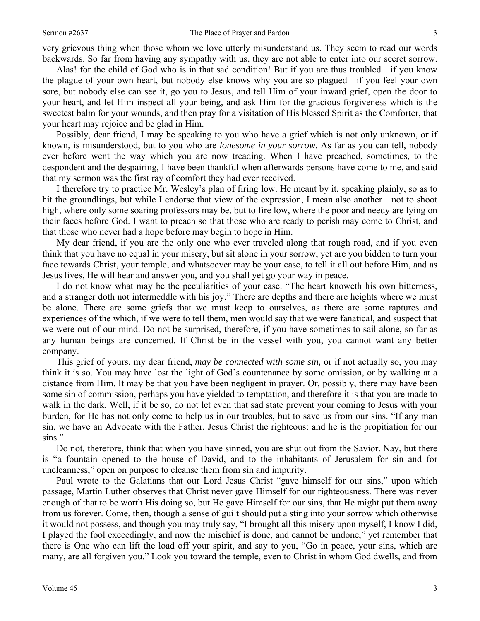very grievous thing when those whom we love utterly misunderstand us. They seem to read our words backwards. So far from having any sympathy with us, they are not able to enter into our secret sorrow.

 Alas! for the child of God who is in that sad condition! But if you are thus troubled—if you know the plague of your own heart, but nobody else knows why you are so plagued—if you feel your own sore, but nobody else can see it, go you to Jesus, and tell Him of your inward grief, open the door to your heart, and let Him inspect all your being, and ask Him for the gracious forgiveness which is the sweetest balm for your wounds, and then pray for a visitation of His blessed Spirit as the Comforter, that your heart may rejoice and be glad in Him.

 Possibly, dear friend, I may be speaking to you who have a grief which is not only unknown, or if known, is misunderstood, but to you who are *lonesome in your sorrow*. As far as you can tell, nobody ever before went the way which you are now treading. When I have preached, sometimes, to the despondent and the despairing, I have been thankful when afterwards persons have come to me, and said that my sermon was the first ray of comfort they had ever received.

 I therefore try to practice Mr. Wesley's plan of firing low. He meant by it, speaking plainly, so as to hit the groundlings, but while I endorse that view of the expression, I mean also another—not to shoot high, where only some soaring professors may be, but to fire low, where the poor and needy are lying on their faces before God. I want to preach so that those who are ready to perish may come to Christ, and that those who never had a hope before may begin to hope in Him.

 My dear friend, if you are the only one who ever traveled along that rough road, and if you even think that you have no equal in your misery, but sit alone in your sorrow, yet are you bidden to turn your face towards Christ, your temple, and whatsoever may be your case, to tell it all out before Him, and as Jesus lives, He will hear and answer you, and you shall yet go your way in peace.

 I do not know what may be the peculiarities of your case. "The heart knoweth his own bitterness, and a stranger doth not intermeddle with his joy." There are depths and there are heights where we must be alone. There are some griefs that we must keep to ourselves, as there are some raptures and experiences of the which, if we were to tell them, men would say that we were fanatical, and suspect that we were out of our mind. Do not be surprised, therefore, if you have sometimes to sail alone, so far as any human beings are concerned. If Christ be in the vessel with you, you cannot want any better company.

 This grief of yours, my dear friend, *may be connected with some sin,* or if not actually so, you may think it is so. You may have lost the light of God's countenance by some omission, or by walking at a distance from Him. It may be that you have been negligent in prayer. Or, possibly, there may have been some sin of commission, perhaps you have yielded to temptation, and therefore it is that you are made to walk in the dark. Well, if it be so, do not let even that sad state prevent your coming to Jesus with your burden, for He has not only come to help us in our troubles, but to save us from our sins. "If any man sin, we have an Advocate with the Father, Jesus Christ the righteous: and he is the propitiation for our sins."

 Do not, therefore, think that when you have sinned, you are shut out from the Savior. Nay, but there is "a fountain opened to the house of David, and to the inhabitants of Jerusalem for sin and for uncleanness," open on purpose to cleanse them from sin and impurity.

 Paul wrote to the Galatians that our Lord Jesus Christ "gave himself for our sins," upon which passage, Martin Luther observes that Christ never gave Himself for our righteousness. There was never enough of that to be worth His doing so, but He gave Himself for our sins, that He might put them away from us forever. Come, then, though a sense of guilt should put a sting into your sorrow which otherwise it would not possess, and though you may truly say, "I brought all this misery upon myself, I know I did, I played the fool exceedingly, and now the mischief is done, and cannot be undone," yet remember that there is One who can lift the load off your spirit, and say to you, "Go in peace, your sins, which are many, are all forgiven you." Look you toward the temple, even to Christ in whom God dwells, and from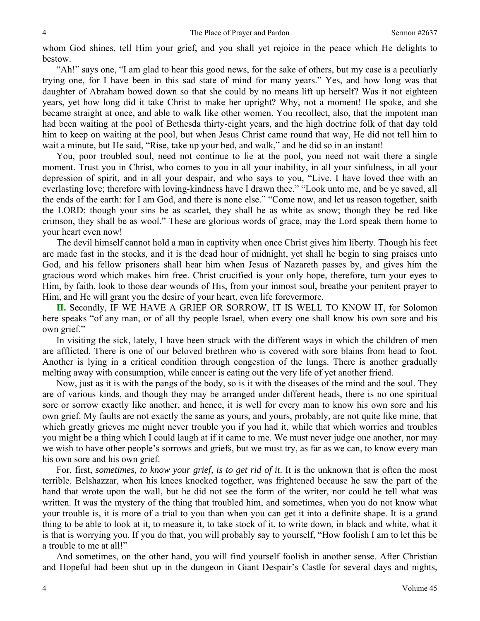whom God shines, tell Him your grief, and you shall yet rejoice in the peace which He delights to bestow.

 "Ah!" says one, "I am glad to hear this good news, for the sake of others, but my case is a peculiarly trying one, for I have been in this sad state of mind for many years." Yes, and how long was that daughter of Abraham bowed down so that she could by no means lift up herself? Was it not eighteen years, yet how long did it take Christ to make her upright? Why, not a moment! He spoke, and she became straight at once, and able to walk like other women. You recollect, also, that the impotent man had been waiting at the pool of Bethesda thirty-eight years, and the high doctrine folk of that day told him to keep on waiting at the pool, but when Jesus Christ came round that way, He did not tell him to wait a minute, but He said, "Rise, take up your bed, and walk," and he did so in an instant!

 You, poor troubled soul, need not continue to lie at the pool, you need not wait there a single moment. Trust you in Christ, who comes to you in all your inability, in all your sinfulness, in all your depression of spirit, and in all your despair, and who says to you, "Live. I have loved thee with an everlasting love; therefore with loving-kindness have I drawn thee." "Look unto me, and be ye saved, all the ends of the earth: for I am God, and there is none else." "Come now, and let us reason together, saith the LORD: though your sins be as scarlet, they shall be as white as snow; though they be red like crimson, they shall be as wool." These are glorious words of grace, may the Lord speak them home to your heart even now!

 The devil himself cannot hold a man in captivity when once Christ gives him liberty. Though his feet are made fast in the stocks, and it is the dead hour of midnight, yet shall he begin to sing praises unto God, and his fellow prisoners shall hear him when Jesus of Nazareth passes by, and gives him the gracious word which makes him free. Christ crucified is your only hope, therefore, turn your eyes to Him, by faith, look to those dear wounds of His, from your inmost soul, breathe your penitent prayer to Him, and He will grant you the desire of your heart, even life forevermore.

**II.** Secondly, IF WE HAVE A GRIEF OR SORROW, IT IS WELL TO KNOW IT, for Solomon here speaks "of any man, or of all thy people Israel, when every one shall know his own sore and his own grief."

 In visiting the sick, lately, I have been struck with the different ways in which the children of men are afflicted. There is one of our beloved brethren who is covered with sore blains from head to foot. Another is lying in a critical condition through congestion of the lungs. There is another gradually melting away with consumption, while cancer is eating out the very life of yet another friend.

 Now, just as it is with the pangs of the body, so is it with the diseases of the mind and the soul. They are of various kinds, and though they may be arranged under different heads, there is no one spiritual sore or sorrow exactly like another, and hence, it is well for every man to know his own sore and his own grief. My faults are not exactly the same as yours, and yours, probably, are not quite like mine, that which greatly grieves me might never trouble you if you had it, while that which worries and troubles you might be a thing which I could laugh at if it came to me. We must never judge one another, nor may we wish to have other people's sorrows and griefs, but we must try, as far as we can, to know every man his own sore and his own grief.

 For, first, *sometimes, to know your grief, is to get rid of it*. It is the unknown that is often the most terrible. Belshazzar, when his knees knocked together, was frightened because he saw the part of the hand that wrote upon the wall, but he did not see the form of the writer, nor could he tell what was written. It was the mystery of the thing that troubled him, and sometimes, when you do not know what your trouble is, it is more of a trial to you than when you can get it into a definite shape. It is a grand thing to be able to look at it, to measure it, to take stock of it, to write down, in black and white, what it is that is worrying you. If you do that, you will probably say to yourself, "How foolish I am to let this be a trouble to me at all!"

 And sometimes, on the other hand, you will find yourself foolish in another sense. After Christian and Hopeful had been shut up in the dungeon in Giant Despair's Castle for several days and nights,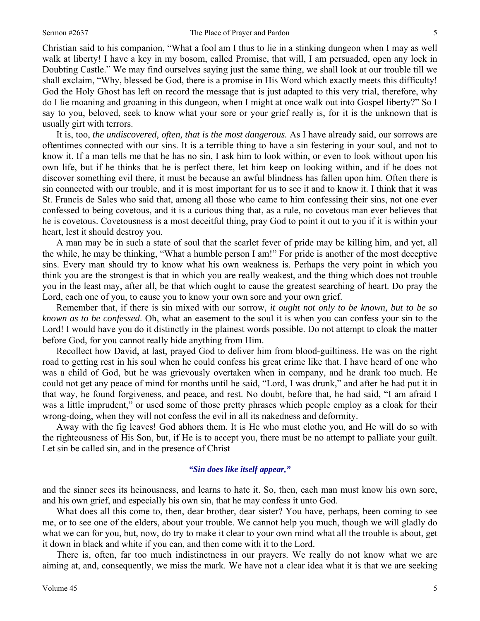Christian said to his companion, "What a fool am I thus to lie in a stinking dungeon when I may as well walk at liberty! I have a key in my bosom, called Promise, that will, I am persuaded, open any lock in Doubting Castle." We may find ourselves saying just the same thing, we shall look at our trouble till we shall exclaim, "Why, blessed be God, there is a promise in His Word which exactly meets this difficulty! God the Holy Ghost has left on record the message that is just adapted to this very trial, therefore, why do I lie moaning and groaning in this dungeon, when I might at once walk out into Gospel liberty?" So I say to you, beloved, seek to know what your sore or your grief really is, for it is the unknown that is usually girt with terrors.

 It is, too, *the undiscovered, often, that is the most dangerous.* As I have already said, our sorrows are oftentimes connected with our sins. It is a terrible thing to have a sin festering in your soul, and not to know it. If a man tells me that he has no sin, I ask him to look within, or even to look without upon his own life, but if he thinks that he is perfect there, let him keep on looking within, and if he does not discover something evil there, it must be because an awful blindness has fallen upon him. Often there is sin connected with our trouble, and it is most important for us to see it and to know it. I think that it was St. Francis de Sales who said that, among all those who came to him confessing their sins, not one ever confessed to being covetous, and it is a curious thing that, as a rule, no covetous man ever believes that he is covetous. Covetousness is a most deceitful thing, pray God to point it out to you if it is within your heart, lest it should destroy you.

 A man may be in such a state of soul that the scarlet fever of pride may be killing him, and yet, all the while, he may be thinking, "What a humble person I am!" For pride is another of the most deceptive sins. Every man should try to know what his own weakness is. Perhaps the very point in which you think you are the strongest is that in which you are really weakest, and the thing which does not trouble you in the least may, after all, be that which ought to cause the greatest searching of heart. Do pray the Lord, each one of you, to cause you to know your own sore and your own grief.

 Remember that, if there is sin mixed with our sorrow, *it ought not only to be known, but to be so known as to be confessed*. Oh, what an easement to the soul it is when you can confess your sin to the Lord! I would have you do it distinctly in the plainest words possible. Do not attempt to cloak the matter before God, for you cannot really hide anything from Him.

 Recollect how David, at last, prayed God to deliver him from blood-guiltiness. He was on the right road to getting rest in his soul when he could confess his great crime like that. I have heard of one who was a child of God, but he was grievously overtaken when in company, and he drank too much. He could not get any peace of mind for months until he said, "Lord, I was drunk," and after he had put it in that way, he found forgiveness, and peace, and rest. No doubt, before that, he had said, "I am afraid I was a little imprudent," or used some of those pretty phrases which people employ as a cloak for their wrong-doing, when they will not confess the evil in all its nakedness and deformity.

 Away with the fig leaves! God abhors them. It is He who must clothe you, and He will do so with the righteousness of His Son, but, if He is to accept you, there must be no attempt to palliate your guilt. Let sin be called sin, and in the presence of Christ—

#### *"Sin does like itself appear,"*

and the sinner sees its heinousness, and learns to hate it. So, then, each man must know his own sore, and his own grief, and especially his own sin, that he may confess it unto God.

 What does all this come to, then, dear brother, dear sister? You have, perhaps, been coming to see me, or to see one of the elders, about your trouble. We cannot help you much, though we will gladly do what we can for you, but, now, do try to make it clear to your own mind what all the trouble is about, get it down in black and white if you can, and then come with it to the Lord.

 There is, often, far too much indistinctness in our prayers. We really do not know what we are aiming at, and, consequently, we miss the mark. We have not a clear idea what it is that we are seeking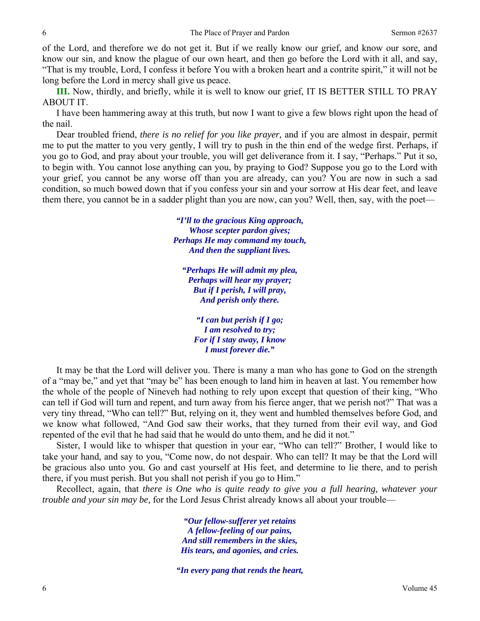of the Lord, and therefore we do not get it. But if we really know our grief, and know our sore, and know our sin, and know the plague of our own heart, and then go before the Lord with it all, and say, "That is my trouble, Lord, I confess it before You with a broken heart and a contrite spirit," it will not be long before the Lord in mercy shall give us peace.

**III.** Now, thirdly, and briefly, while it is well to know our grief, IT IS BETTER STILL TO PRAY ABOUT IT.

 I have been hammering away at this truth, but now I want to give a few blows right upon the head of the nail.

 Dear troubled friend, *there is no relief for you like prayer,* and if you are almost in despair, permit me to put the matter to you very gently, I will try to push in the thin end of the wedge first. Perhaps, if you go to God, and pray about your trouble, you will get deliverance from it. I say, "Perhaps." Put it so, to begin with. You cannot lose anything can you, by praying to God? Suppose you go to the Lord with your grief, you cannot be any worse off than you are already, can you? You are now in such a sad condition, so much bowed down that if you confess your sin and your sorrow at His dear feet, and leave them there, you cannot be in a sadder plight than you are now, can you? Well, then, say, with the poet—

> *"I'll to the gracious King approach, Whose scepter pardon gives; Perhaps He may command my touch, And then the suppliant lives.*

*"Perhaps He will admit my plea, Perhaps will hear my prayer; But if I perish, I will pray, And perish only there.* 

*"I can but perish if I go; I am resolved to try; For if I stay away, I know I must forever die."* 

 It may be that the Lord will deliver you. There is many a man who has gone to God on the strength of a "may be," and yet that "may be" has been enough to land him in heaven at last. You remember how the whole of the people of Nineveh had nothing to rely upon except that question of their king, "Who can tell if God will turn and repent, and turn away from his fierce anger, that we perish not?" That was a very tiny thread, "Who can tell?" But, relying on it, they went and humbled themselves before God, and we know what followed, "And God saw their works, that they turned from their evil way, and God repented of the evil that he had said that he would do unto them, and he did it not."

 Sister, I would like to whisper that question in your ear, "Who can tell?" Brother, I would like to take your hand, and say to you, "Come now, do not despair. Who can tell? It may be that the Lord will be gracious also unto you. Go and cast yourself at His feet, and determine to lie there, and to perish there, if you must perish. But you shall not perish if you go to Him."

 Recollect, again, that *there is One who is quite ready to give you a full hearing, whatever your trouble and your sin may be,* for the Lord Jesus Christ already knows all about your trouble—

> *"Our fellow-sufferer yet retains A fellow-feeling of our pains, And still remembers in the skies, His tears, and agonies, and cries.*

*"In every pang that rends the heart,*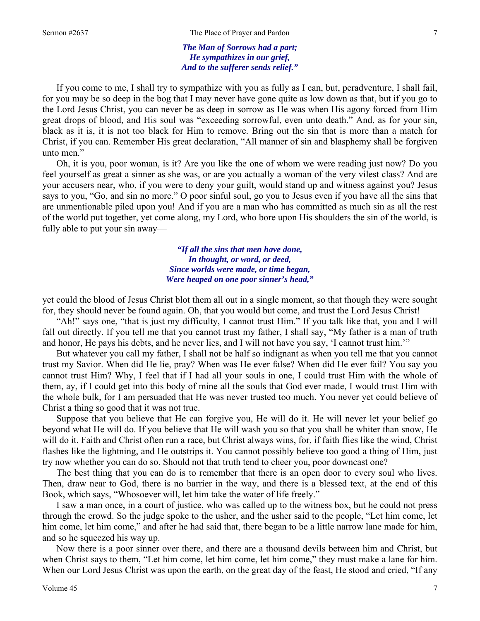*The Man of Sorrows had a part; He sympathizes in our grief, And to the sufferer sends relief."* 

 If you come to me, I shall try to sympathize with you as fully as I can, but, peradventure, I shall fail, for you may be so deep in the bog that I may never have gone quite as low down as that, but if you go to the Lord Jesus Christ, you can never be as deep in sorrow as He was when His agony forced from Him great drops of blood, and His soul was "exceeding sorrowful, even unto death." And, as for your sin, black as it is, it is not too black for Him to remove. Bring out the sin that is more than a match for Christ, if you can. Remember His great declaration, "All manner of sin and blasphemy shall be forgiven unto men."

 Oh, it is you, poor woman, is it? Are you like the one of whom we were reading just now? Do you feel yourself as great a sinner as she was, or are you actually a woman of the very vilest class? And are your accusers near, who, if you were to deny your guilt, would stand up and witness against you? Jesus says to you, "Go, and sin no more." O poor sinful soul, go you to Jesus even if you have all the sins that are unmentionable piled upon you! And if you are a man who has committed as much sin as all the rest of the world put together, yet come along, my Lord, who bore upon His shoulders the sin of the world, is fully able to put your sin away—

> *"If all the sins that men have done, In thought, or word, or deed, Since worlds were made, or time began, Were heaped on one poor sinner's head,"*

yet could the blood of Jesus Christ blot them all out in a single moment, so that though they were sought for, they should never be found again. Oh, that you would but come, and trust the Lord Jesus Christ!

 "Ah!" says one, "that is just my difficulty, I cannot trust Him." If you talk like that, you and I will fall out directly. If you tell me that you cannot trust my father, I shall say, "My father is a man of truth and honor, He pays his debts, and he never lies, and I will not have you say, 'I cannot trust him.'"

 But whatever you call my father, I shall not be half so indignant as when you tell me that you cannot trust my Savior. When did He lie, pray? When was He ever false? When did He ever fail? You say you cannot trust Him? Why, I feel that if I had all your souls in one, I could trust Him with the whole of them, ay, if I could get into this body of mine all the souls that God ever made, I would trust Him with the whole bulk, for I am persuaded that He was never trusted too much. You never yet could believe of Christ a thing so good that it was not true.

 Suppose that you believe that He can forgive you, He will do it. He will never let your belief go beyond what He will do. If you believe that He will wash you so that you shall be whiter than snow, He will do it. Faith and Christ often run a race, but Christ always wins, for, if faith flies like the wind, Christ flashes like the lightning, and He outstrips it. You cannot possibly believe too good a thing of Him, just try now whether you can do so. Should not that truth tend to cheer you, poor downcast one?

 The best thing that you can do is to remember that there is an open door to every soul who lives. Then, draw near to God, there is no barrier in the way, and there is a blessed text, at the end of this Book, which says, "Whosoever will, let him take the water of life freely."

 I saw a man once, in a court of justice, who was called up to the witness box, but he could not press through the crowd. So the judge spoke to the usher, and the usher said to the people, "Let him come, let him come, let him come," and after he had said that, there began to be a little narrow lane made for him, and so he squeezed his way up.

 Now there is a poor sinner over there, and there are a thousand devils between him and Christ, but when Christ says to them, "Let him come, let him come, let him come," they must make a lane for him. When our Lord Jesus Christ was upon the earth, on the great day of the feast, He stood and cried, "If any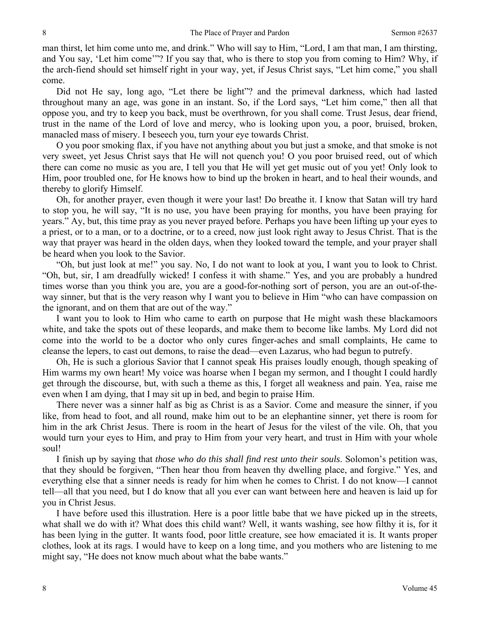man thirst, let him come unto me, and drink." Who will say to Him, "Lord, I am that man, I am thirsting, and You say, 'Let him come'"? If you say that, who is there to stop you from coming to Him? Why, if the arch-fiend should set himself right in your way, yet, if Jesus Christ says, "Let him come," you shall come.

 Did not He say, long ago, "Let there be light"? and the primeval darkness, which had lasted throughout many an age, was gone in an instant. So, if the Lord says, "Let him come," then all that oppose you, and try to keep you back, must be overthrown, for you shall come. Trust Jesus, dear friend, trust in the name of the Lord of love and mercy, who is looking upon you, a poor, bruised, broken, manacled mass of misery. I beseech you, turn your eye towards Christ.

 O you poor smoking flax, if you have not anything about you but just a smoke, and that smoke is not very sweet, yet Jesus Christ says that He will not quench you! O you poor bruised reed, out of which there can come no music as you are, I tell you that He will yet get music out of you yet! Only look to Him, poor troubled one, for He knows how to bind up the broken in heart, and to heal their wounds, and thereby to glorify Himself.

 Oh, for another prayer, even though it were your last! Do breathe it. I know that Satan will try hard to stop you, he will say, "It is no use, you have been praying for months, you have been praying for years." Ay, but, this time pray as you never prayed before. Perhaps you have been lifting up your eyes to a priest, or to a man, or to a doctrine, or to a creed, now just look right away to Jesus Christ. That is the way that prayer was heard in the olden days, when they looked toward the temple, and your prayer shall be heard when you look to the Savior.

 "Oh, but just look at me!" you say. No, I do not want to look at you, I want you to look to Christ. "Oh, but, sir, I am dreadfully wicked! I confess it with shame." Yes, and you are probably a hundred times worse than you think you are, you are a good-for-nothing sort of person, you are an out-of-theway sinner, but that is the very reason why I want you to believe in Him "who can have compassion on the ignorant, and on them that are out of the way."

 I want you to look to Him who came to earth on purpose that He might wash these blackamoors white, and take the spots out of these leopards, and make them to become like lambs. My Lord did not come into the world to be a doctor who only cures finger-aches and small complaints, He came to cleanse the lepers, to cast out demons, to raise the dead—even Lazarus, who had begun to putrefy.

 Oh, He is such a glorious Savior that I cannot speak His praises loudly enough, though speaking of Him warms my own heart! My voice was hoarse when I began my sermon, and I thought I could hardly get through the discourse, but, with such a theme as this, I forget all weakness and pain. Yea, raise me even when I am dying, that I may sit up in bed, and begin to praise Him.

 There never was a sinner half as big as Christ is as a Savior. Come and measure the sinner, if you like, from head to foot, and all round, make him out to be an elephantine sinner, yet there is room for him in the ark Christ Jesus. There is room in the heart of Jesus for the vilest of the vile. Oh, that you would turn your eyes to Him, and pray to Him from your very heart, and trust in Him with your whole soul!

 I finish up by saying that *those who do this shall find rest unto their souls*. Solomon's petition was, that they should be forgiven, "Then hear thou from heaven thy dwelling place, and forgive." Yes, and everything else that a sinner needs is ready for him when he comes to Christ. I do not know—I cannot tell—all that you need, but I do know that all you ever can want between here and heaven is laid up for you in Christ Jesus.

 I have before used this illustration. Here is a poor little babe that we have picked up in the streets, what shall we do with it? What does this child want? Well, it wants washing, see how filthy it is, for it has been lying in the gutter. It wants food, poor little creature, see how emaciated it is. It wants proper clothes, look at its rags. I would have to keep on a long time, and you mothers who are listening to me might say, "He does not know much about what the babe wants."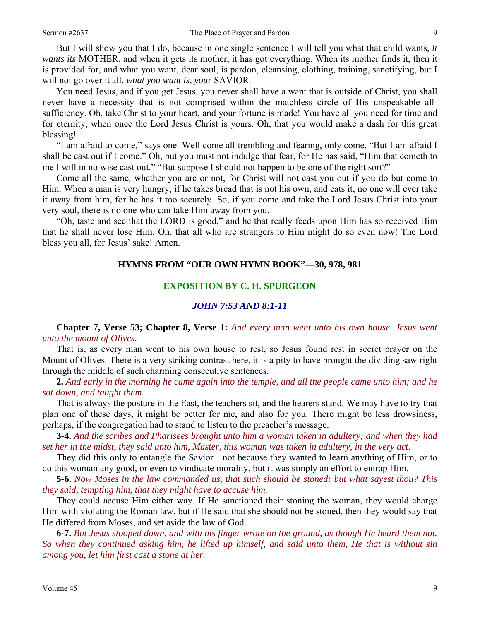But I will show you that I do, because in one single sentence I will tell you what that child wants, *it wants its* MOTHER, and when it gets its mother, it has got everything. When its mother finds it, then it is provided for, and what you want, dear soul, is pardon, cleansing, clothing, training, sanctifying, but I will not go over it all, *what you want is, your* SAVIOR.

 You need Jesus, and if you get Jesus, you never shall have a want that is outside of Christ, you shall never have a necessity that is not comprised within the matchless circle of His unspeakable allsufficiency. Oh, take Christ to your heart, and your fortune is made! You have all you need for time and for eternity, when once the Lord Jesus Christ is yours. Oh, that you would make a dash for this great blessing!

 "I am afraid to come," says one. Well come all trembling and fearing, only come. "But I am afraid I shall be cast out if I come." Oh, but you must not indulge that fear, for He has said, "Him that cometh to me I will in no wise cast out." "But suppose I should not happen to be one of the right sort?"

 Come all the same, whether you are or not, for Christ will not cast you out if you do but come to Him. When a man is very hungry, if he takes bread that is not his own, and eats it, no one will ever take it away from him, for he has it too securely. So, if you come and take the Lord Jesus Christ into your very soul, there is no one who can take Him away from you.

 "Oh, taste and see that the LORD is good," and he that really feeds upon Him has so received Him that he shall never lose Him. Oh, that all who are strangers to Him might do so even now! The Lord bless you all, for Jesus' sake! Amen.

### **HYMNS FROM "OUR OWN HYMN BOOK"—30, 978, 981**

## **EXPOSITION BY C. H. SPURGEON**

# *JOHN 7:53 AND 8:1-11*

**Chapter 7, Verse 53; Chapter 8, Verse 1:** *And every man went unto his own house. Jesus went unto the mount of Olives.* 

That is, as every man went to his own house to rest, so Jesus found rest in secret prayer on the Mount of Olives. There is a very striking contrast here, it is a pity to have brought the dividing saw right through the middle of such charming consecutive sentences.

**2.** *And early in the morning he came again into the temple, and all the people came unto him; and he sat down, and taught them.* 

That is always the posture in the East, the teachers sit, and the hearers stand. We may have to try that plan one of these days, it might be better for me, and also for you. There might be less drowsiness, perhaps, if the congregation had to stand to listen to the preacher's message.

**3-4.** *And the scribes and Pharisees brought unto him a woman taken in adultery; and when they had set her in the midst, they said unto him, Master, this woman was taken in adultery, in the very act.* 

They did this only to entangle the Savior—not because they wanted to learn anything of Him, or to do this woman any good, or even to vindicate morality, but it was simply an effort to entrap Him.

**5-6.** *Now Moses in the law commanded us, that such should be stoned: but what sayest thou? This they said, tempting him, that they might have to accuse him.* 

They could accuse Him either way. If He sanctioned their stoning the woman, they would charge Him with violating the Roman law, but if He said that she should not be stoned, then they would say that He differed from Moses, and set aside the law of God.

**6-7.** *But Jesus stooped down, and with his finger wrote on the ground, as though He heard them not. So when they continued asking him, he lifted up himself, and said unto them, He that is without sin among you, let him first cast a stone at her.*